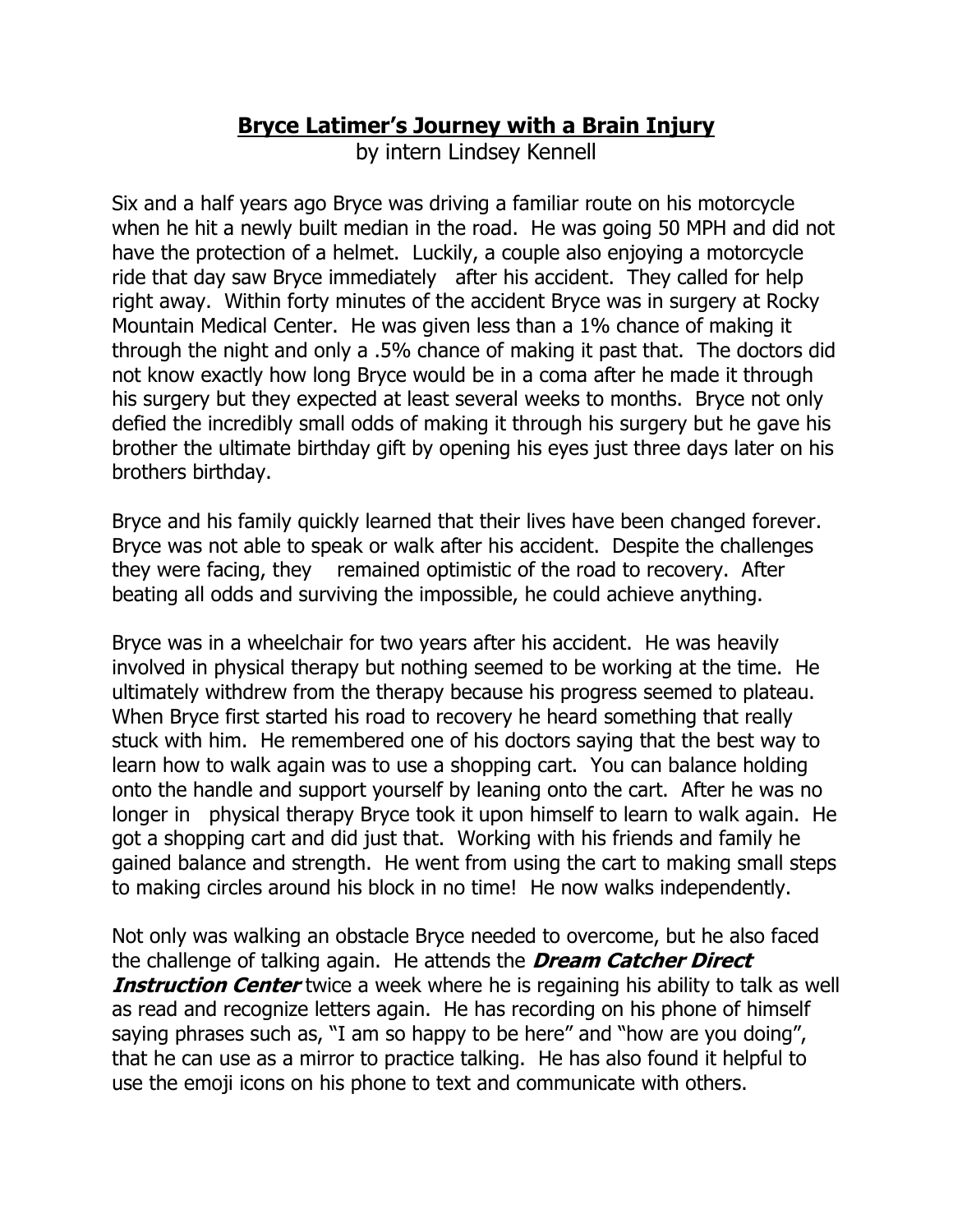## **Bryce Latimer's Journey with a Brain Injury**

by intern Lindsey Kennell

Six and a half years ago Bryce was driving a familiar route on his motorcycle when he hit a newly built median in the road. He was going 50 MPH and did not have the protection of a helmet. Luckily, a couple also enjoying a motorcycle ride that day saw Bryce immediately after his accident. They called for help right away. Within forty minutes of the accident Bryce was in surgery at Rocky Mountain Medical Center. He was given less than a 1% chance of making it through the night and only a .5% chance of making it past that. The doctors did not know exactly how long Bryce would be in a coma after he made it through his surgery but they expected at least several weeks to months. Bryce not only defied the incredibly small odds of making it through his surgery but he gave his brother the ultimate birthday gift by opening his eyes just three days later on his brothers birthday.

Bryce and his family quickly learned that their lives have been changed forever. Bryce was not able to speak or walk after his accident. Despite the challenges they were facing, they remained optimistic of the road to recovery. After beating all odds and surviving the impossible, he could achieve anything.

Bryce was in a wheelchair for two years after his accident. He was heavily involved in physical therapy but nothing seemed to be working at the time. He ultimately withdrew from the therapy because his progress seemed to plateau. When Bryce first started his road to recovery he heard something that really stuck with him. He remembered one of his doctors saying that the best way to learn how to walk again was to use a shopping cart. You can balance holding onto the handle and support yourself by leaning onto the cart. After he was no longer in physical therapy Bryce took it upon himself to learn to walk again. He got a shopping cart and did just that. Working with his friends and family he gained balance and strength. He went from using the cart to making small steps to making circles around his block in no time! He now walks independently.

Not only was walking an obstacle Bryce needed to overcome, but he also faced the challenge of talking again. He attends the **Dream Catcher Direct Instruction Center** twice a week where he is regaining his ability to talk as well as read and recognize letters again. He has recording on his phone of himself saying phrases such as, "I am so happy to be here" and "how are you doing", that he can use as a mirror to practice talking. He has also found it helpful to use the emoji icons on his phone to text and communicate with others.